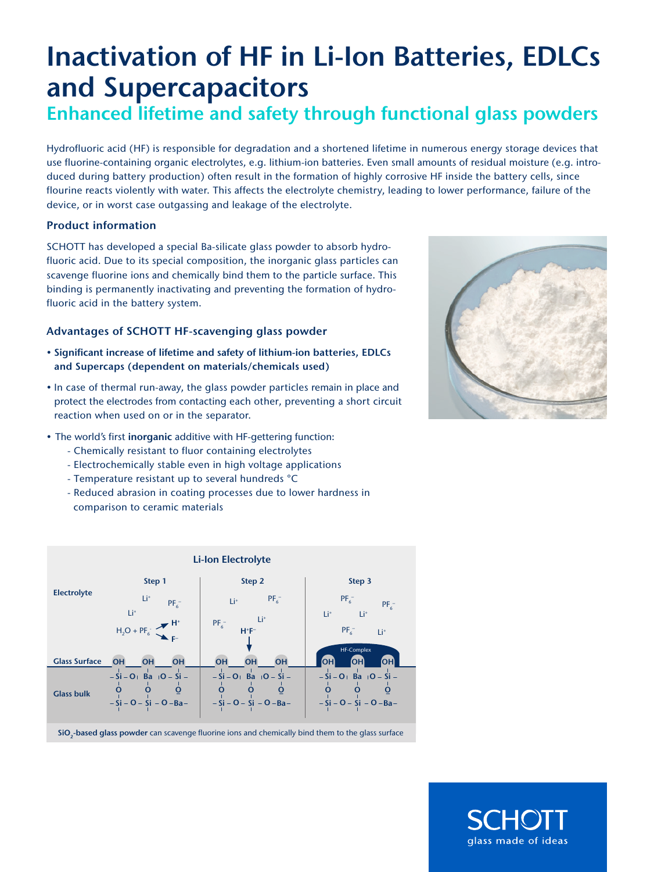## Inactivation of HF in Li-Ion Batteries, EDLCs and Supercapacitors Enhanced lifetime and safety through functional glass powders

Hydrofluoric acid (HF) is responsible for degradation and a shortened lifetime in numerous energy storage devices that use fluorine-containing organic electrolytes, e.g. lithium-ion batteries. Even small amounts of residual moisture (e.g. introduced during battery production) often result in the formation of highly corrosive HF inside the battery cells, since flourine reacts violently with water. This affects the electrolyte chemistry, leading to lower performance, failure of the device, or in worst case outgassing and leakage of the electrolyte.

### Product information

SCHOTT has developed a special Ba-silicate glass powder to absorb hydrofluoric acid. Due to its special composition, the inorganic glass particles can scavenge fluorine ions and chemically bind them to the particle surface. This binding is permanently inactivating and preventing the formation of hydrofluoric acid in the battery system.

### Advantages of SCHOTT HF-scavenging glass powder

- Significant increase of lifetime and safety of lithium-ion batteries, EDLCs and Supercaps (dependent on materials/chemicals used)
- In case of thermal run-away, the glass powder particles remain in place and protect the electrodes from contacting each other, preventing a short circuit reaction when used on or in the separator.
- The world's first inorganic additive with HF-gettering function:
	- Chemically resistant to fluor containing electrolytes
	- Electrochemically stable even in high voltage applications
	- Temperature resistant up to several hundreds °C
	- Reduced abrasion in coating processes due to lower hardness in comparison to ceramic materials

| <b>Li-lon Electrolyte</b> |                                                                           |                                                                                         |                                                                                                                          |  |
|---------------------------|---------------------------------------------------------------------------|-----------------------------------------------------------------------------------------|--------------------------------------------------------------------------------------------------------------------------|--|
| <b>Electrolyte</b>        | Step 1<br>Li <sup>+</sup><br>$PF_6^-$<br>Li <sup>+</sup><br>$H_2O + PF_6$ | Step 2<br>$PF_6^-$<br>Li <sup>+</sup><br>$\sim$ Li <sup>+</sup><br>$PF_6^-$<br>$H^*F^-$ | Step 3<br>$PF_6^-$<br>$PF_6^-$<br>Li <sup>+</sup><br>Li <sup>+</sup><br>PF <sub>6</sub><br>Li <sup>+</sup><br>HF-Complex |  |
| <b>Glass Surface</b>      | <b>OH</b><br><b>OH</b><br><b>OH</b>                                       | <b>OH</b><br>OH<br><b>OH</b>                                                            | <b>OH</b><br><b>OH</b><br><b>OH</b>                                                                                      |  |
| <b>Glass bulk</b>         | $-Si-O$ Ba $O-Si$ -<br>$-Si - O - Si - O - Ba -$                          | $-Si-O$ Ba $O-Si$ -<br>₫<br>$-Si - O - Si - O - Ba -$                                   | $-Si-O$ Ba $O-Si$ -<br>₫<br>$-Si - O - Si - O - Ba -$                                                                    |  |

SiO<sub>3</sub>-based glass powder can scavenge fluorine ions and chemically bind them to the glass surface